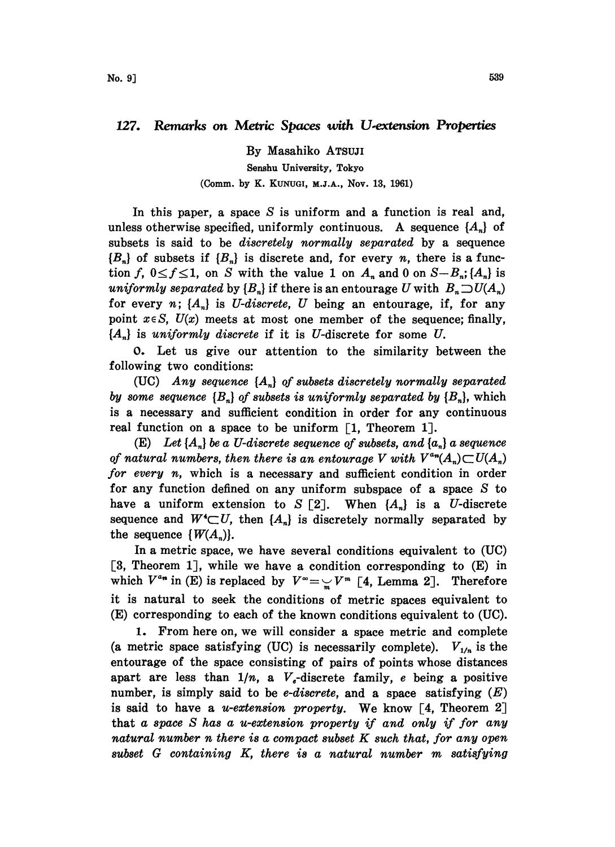## 127. Remarks on Metric Spaces with U-extension Properties

By Masahiko ATSUJI Senshu University, Tokyo (Comm. by K. KUNUGI, M.J.A., Nov. 13, 1961)

In this paper, a space  $S$  is uniform and a function is real and, unless otherwise specified, uniformly continuous. A sequence  $\{A_n\}$  of subsets is said to be *discretely normally separated* by a sequence  ${B_n}$  of subsets if  ${B_n}$  is discrete and, for every *n*, there is a function f,  $0 \le f \le 1$ , on S with the value 1 on  $A_n$  and 0 on  $S-B_n$ ;  $\{A_n\}$  is uniformly separated by  $\{B_n\}$  if there is an entourage U with  $B_n\supset U(A_n)$ for every n;  $\{A_n\}$  is *U-discrete*, *U* being an entourage, if, for any point  $x \in S$ ,  $U(x)$  meets at most one member of the sequence; finally,  ${A_n}$  is uniformly discrete if it is U-discrete for some U.

0. Let us give our attention to the similarity between the following two conditions:

(UC) Any sequence  $\{A_n\}$  of subsets discretely normally separated by some sequence  ${B_n}$  of subsets is uniformly separated by  ${B_n}$ , which is a necessary and sufficient condition in order for any continuous real function on a space to be uniform  $\lceil 1, \text{Theorem 1} \rceil$ .

(E) Let  $\{A_n\}$  be a U-discrete sequence of subsets, and  $\{a_n\}$  a sequence of natural numbers, then there is an entourage V with  $V^{a_n}(A_n) \subset U(A_n)$ for every  $n$ , which is a necessary and sufficient condition in order for any function defined on any uniform subspace of a space S to have a uniform extension to S [2]. When  ${A_n}$  is a U-discrete sequence and  $W^{\prime} \subset U$ , then  $\{A_n\}$  is discretely normally separated by the sequence  $\{W(A_n)\}.$ 

In a metric space, we have several conditions equivalent to (UC)  $[3,$  Theorem 1], while we have a condition corresponding to  $(E)$  in which  $V^{a_n}$  in (E) is replaced by  $V^{\infty} = \frac{V}{m} V^m$  [4, Lemma 2]. Therefore<br>it is natural to seek the conditions of metric spaces equivalent to it is natural to seek the conditions of metric spaces equivalent to (E) corresponding to each of the known conditions equivalent to (UC).

1. From here on, we will consider a space metric and complete (a metric space satisfying (UC) is necessarily complete).  $V_{1/n}$  is the entourage of the space consisting of pairs of points whose distances apart are less than  $1/n$ , a  $V<sub>e</sub>$ -discrete family, e being a positive number, is simply said to be *e-discrete*, and a space satisfying  $(E)$ is said to have a *u-extension property*. We know  $\lceil 4 \rceil$ , Theorem 2 that a space S has a u-extension property if and only if for any natural number n there is a compact subset  $K$  such that, for any open subset G containing K, there is <sup>a</sup> natural number m satisfying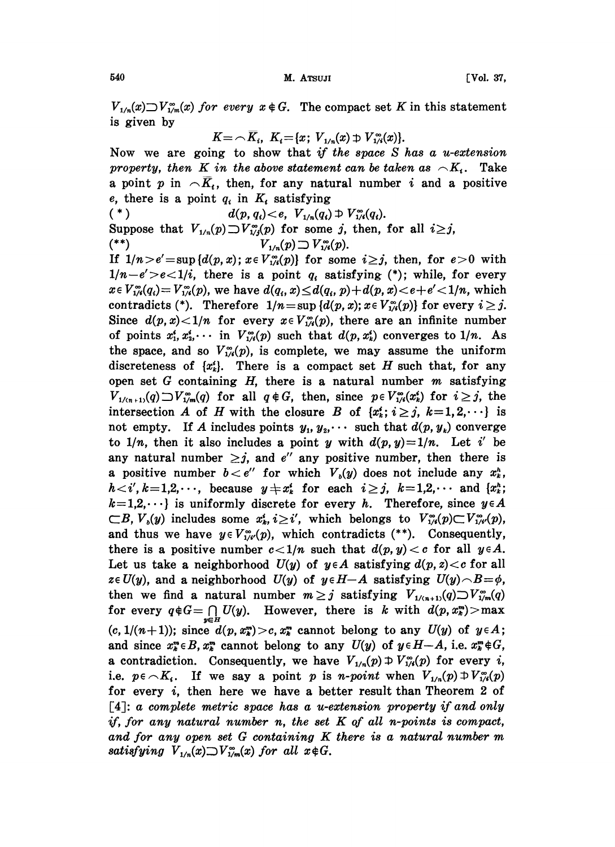$V_{1/n}(x) \supset V_{1/m}(x)$  for every  $x \notin G$ . The compact set K in this statement is given by

$$
K = \bigcap \overline{K}_{i}, \ K_{i} = \{x; \ V_{1/n}(x) \supset \overline{V}_{1/i}^{\infty}(x)\}.
$$

Now we are going to show that if the space  $S$  has a u-extension property, then K in the above statement can be taken as  $\sim K_i$ . Take a point p in  $\cap \overline{K_i}$ , then, for any natural number i and a positive e, there is a point  $q_i$  in  $K_i$  satisfying<br>  $\binom{*}{i}$   $d(p, q_i) < e$ ,  $V_{1/n}(q_i)$ 

 $d(p, q_i) < e, \ \ V_{1/n}(q_i) \supset V_{1/4}^{\infty}(q_i).$ Suppose that  $V_{1/n}(p) \supset V_{1/n}^{\infty}(p)$  for some j, then, for all  $i \geq j$ , (\*\*)  $V_{1/n}(p) \supset V_{1/4}(p)$ .

If  $1/n > e' = \sup \{d(p, x); x \in V^{\infty}_{1/4}(p)\}\)$  for some  $i \geq j$ , then, for  $e > 0$  with  $1/n-e' > e < 1/i$ , there is a point  $q_i$  satisfying (\*); while, for every  $x \in V^{\infty}_{1/4}(q_i) = V^{\infty}_{1/4}(p)$ , we have  $d(q_i, x) \leq d(q_i, p) + d(p, x) < e + e' < 1/n$ , which contradicts (\*). Therefore  $1/n = \sup \{d(p, x); x \in V_{1/4}^{\infty}(p)\}$  for every  $i \geq j$ . Since  $d(p, x) < 1/n$  for every  $x \in V_{1/4}^{\infty}(p)$ , there are an infinite number of points  $x_1^*, x_2^*, \cdots$  in  $V_{1/4}^{\infty}(p)$  such that  $d(p, x_k^*)$  converges to  $1/n$ . As the space, and so  $V_{1/4}^{\infty}(p)$ , is complete, we may assume the uniform discreteness of  $\{x_k^i\}$ . There is a compact set H such that, for any open set G containing  $H$ , there is a natural number  $m$  satisfying  $V_{1/(n+1)}(q) \supset V_{1/m}^{\infty}(q)$  for all  $q \notin G$ , then, since  $p \in V_{1/4}^{\infty}(x_k^*)$  for  $i \geq j$ , the intersection A of H with the closure B of  $\{x_k^i; i \geq j, k=1, 2, \dots\}$  is not empty. If A includes points  $y_1, y_2, \cdots$  such that  $d(p, y_k)$  converge to  $1/n$ , then it also includes a point y with  $d(p, y)=1/n$ . Let i' be any natural number  $\geq j$ , and e'' any positive number, then there is a positive number  $b < e''$  for which  $V_0(y)$  does not include any  $x_k^n$ ,  $h \lt i', k=1,2,\cdots$ , because  $y \neq x_k^i$  for each  $i \geq j$ ,  $k=1,2,\cdots$  and  $\{x_k^h\}$ ;  $k=1,2,\dots$  is uniformly discrete for every h. Therefore, since  $y \in A$  $\subset B$ ,  $V_b(y)$  includes some  $x_k^i, i \geq i'$ , which belongs to  $V_{1/4}^{\infty}(p) \subset V_{1/4}^{\infty}(p)$ , and thus we have  $y \in V^{\infty}_{1/t'}(p)$ , which contradicts (\*\*). Consequently, there is a positive number  $c < 1/n$  such that  $d(p, y) < c$  for all  $y \in A$ . Let us take a neighborhood  $U(y)$  of  $y \in A$  satisfying  $d(p, z) < c$  for all ze  $U(y)$ , and a neighborhood  $U(y)$  of  $y \in H-A$  satisfying  $U(y) \cap B=\phi$ , then we find a natural number  $m \geq j$  satisfying  $V_{1/(n+1)}(q) \supset V_{1/m}^{\infty}(q)$ for every  $q \notin G = \bigcap_{y \in H} U(y)$ . However, there is k with  $d(p, x_k^m) > \max$  $(c, 1/(n+1))$ ; since  $d(p, x_k^m) > c, x_k^m$  cannot belong to any  $U(y)$  of  $y \in A$ ; and since  $x_k^m \in B$ ,  $x_k^m$  cannot belong to any  $U(y)$  of  $y \in H-A$ , i.e.  $x_k^m \notin G$ , a contradiction. Consequently, we have  $V_{1/n}(p) \oplus V_{1/n}(p)$  for every i, i.e.  $p \in K_i$ . If we say a point p is n-point when  $V_{1/n}(p) \oplus V_{1/i}^{\infty}(p)$ for every  $i$ , then here we have a better result than Theorem 2 of [4]: a complete metric space has a u-extension property if and only if, for any natural number n, the set  $K$  of all n-points is compact, and for any open set G containing K there is <sup>a</sup> natural number m satisfying  $V_{1/n}(x) \supset V_{1/m}(x)$  for all  $x \notin G$ .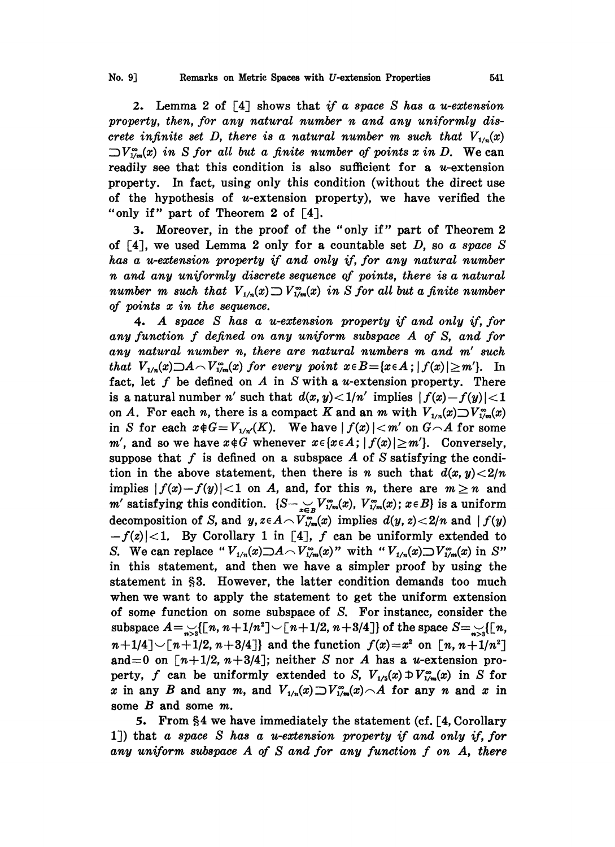2. Lemma 2 of  $\lceil 4 \rceil$  shows that if a space S has a u-extension property, then, for any natural number n and any uniformly discrete infinite set D, there is a natural number m such that  $V_{1/n}(x)$  $\sup_{\mathcal{V}} V_{\mathcal{V}}^{\infty}(x)$  in S for all but a finite number of points x in D. We can readily see that this condition is also sufficient for a  $u$ -extension property. In fact, using only this condition (without the direct use of the hypothesis of  $u$ -extension property), we have verified the "only if" part of Theorem 2 of [4].

3. Moreover, in the proof of the "only if" part of Theorem 2 of  $[4]$ , we used Lemma 2 only for a countable set D, so a space S has a u-extension property if and only if, for any natural number n and any uniformly discrete sequence of points, there is a natural number m such that  $V_{1/n}(x) \supset V_{1/m}(x)$  in S for all but a finite number of points  $x$  in the sequence.

4. A space S has <sup>a</sup> u-extension property if and only if, for any function f defined on any uniform subspace A of S, and for any natural number n, there are natural numbers m and m' such that  $V_{1/n}(x) \supseteq A \supset V_{1/m}(x)$  for every point  $x \in B = \{x \in A : |f(x)| \ge m'\}.$  In fact, let f be defined on A in S with a u-extension property. There is a natural number n' such that  $d(x, y) < 1/n'$  implies  $|f(x)-f(y)| < 1$ on A. For each n, there is a compact K and an m with  $V_{1/n}(x) \supset V_{1/m}^{\infty}(x)$ in S for each  $x \notin G=V_{1/n'}(K)$ . We have  $|f(x)| < m'$  on  $G \cap A$  for some m', and so we have  $x \notin G$  whenever  $x \in \{x \in A\}$ ;  $|f(x)| \ge m'$ . Conversely, suppose that f is defined on a subspace A of S satisfying the condition in the above statement, then there is n such that  $d(x, y) < 2/n$ implies  $|f(x)-f(y)|<1$  on A, and, for this n, there are  $m\geq n$  and m' satisfying this condition.  $\{S-\sum_{x\in B}V_{1/m}^{\infty}(x), V_{1/m}^{\infty}(x); x\in B\}$  is a uniform decomposition of S, and  $y$ ,  $z \in A \setminus V^{\infty}_{1/m}(x)$  implies  $d(y, z) < 2/n$  and  $|f(y)|$  $-f(z)$ |<1. By Corollary 1 in [4], f can be uniformly extended to S. We can replace " $V_{1/n}(x) \supseteq A \supset V_{1/m}(x)$ " with " $V_{1/n}(x) \supseteq V_{1/m}(x)$  in S" in this statement, and then we have a simpler proof by using the statement in §3. However, the latter condition demands too much when we want to apply the statement to get the uniform extension of some function on some subspace of S. For instancc, consider the subspace  $A=\bigcup_{n>3}[(n, n+1/n^2]\setminus [n+1/2, n+3/4])$  of the space  $S=\bigcup_{n>3}[(n,$  $n+1/4$   $\sim$  [ $n+1/2$ ,  $n+3/4$ ]} and the function  $f(x)=x^2$  on  $\lceil n, n+1/n^2 \rceil$ and=0 on  $\lceil n+1/2, n+3/4 \rceil$ ; neither S nor A has a u-extension property, f can be uniformly extended to S,  $V_{1/5}(x) \oplus V_{1/m}^{\infty}(x)$  in S for x in any B and any m, and  $V_{1/n}(x) \supset V_{1/m}(x) \frown A$  for any n and x in some B and some m.

5. From  $\S 4$  we have immediately the statement (cf. [4, Corollary lJ) that a space S has a u-extension property if and only if, for any uniform subspace  $A$  of  $S$  and for any function  $f$  on  $A$ , there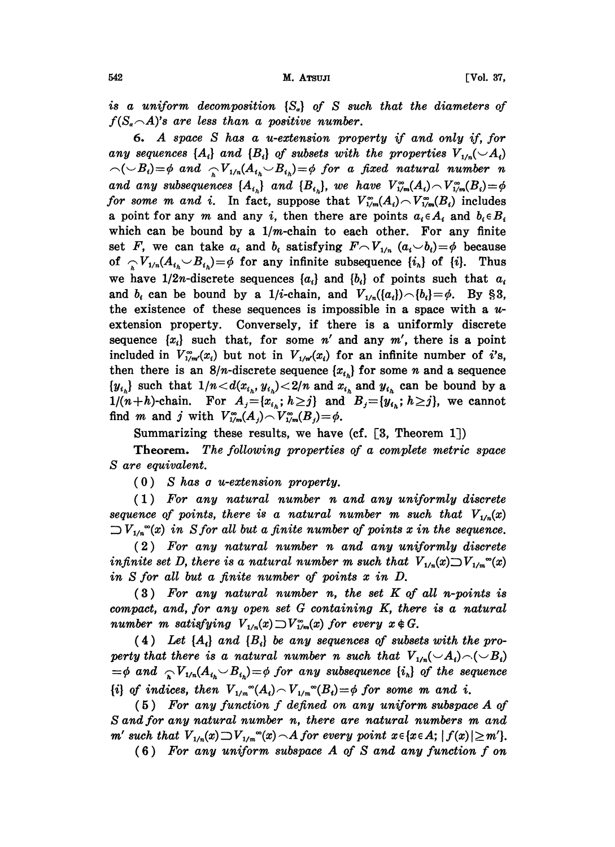is a uniform decomposition  $\{S_a\}$  of S such that the diameters of  $f(S_{\alpha} \cap A)$ 's are less than a positive number.

6. A space S has <sup>a</sup> u-extension property if and only if, for any sequences  $\{A_i\}$  and  $\{B_i\}$  of subsets with the properties  $V_{1/n}(\neg A_i)$  $\bigwedge(\bigvee B_i)=\phi$  and  $\bigwedge V_{1/n}(A_{t_h}\bigvee B_{t_h})=\phi$  for a fixed natural number n and any subsequences  $\{A_{i_k}\}\$ and  $\{B_{i_k}\}\$ , we have  $V^{\infty}_{1/m}(A_i) \sim V^{\infty}_{1/m}(B_i) = \phi$ for some m and i. In fact, suppose that  $V^{\infty}_{1/m}(A_i) \sim V^{\infty}_{1/m}(B_i)$  includes a point for any m and any i, then there are points  $a_i \in A_i$  and  $b_i \in B_i$ which can be bound by a 1/m-chain to each other. For any finite set F, we can take  $a_i$  and  $b_i$  satisfying  $F \sim V_{1/n}$   $(a_i \smile b_i) = \phi$  because of  $\sum_{i} V_{1/n}(A_{i} \cup B_{i}) = \phi$  for any infinite subsequence  $\{i_n\}$  of  $\{i\}$ . Thus we have  $1/2n$ -discrete sequences  $\{a_i\}$  and  $\{b_i\}$  of points such that  $a_i$ and  $b_i$  can be bound by a 1/*i*-chain, and  $V_{1/n}(\{a_i\}) \frown \{b_i\} = \phi$ . By §3, the existence of these sequences is impossible in a space with a  $u$ extension property. Conversely, if there is a uniformly discrete sequence  $\{x_i\}$  such that, for some n' and any m', there is a point included in  $V_{1/m}^{\infty}(x_i)$  but not in  $V_{1/m}(x_i)$  for an infinite number of i's, then there is an  $8/n$ -discrete sequence  $\{x_{i_n}\}$  for some n and a sequence  ${y_i}_n$  such that  $1/n < d(x_{i_n}, y_{i_n}) < 2/n$  and  $x_{i_n}$  and  $y_{i_n}$  can be bound by a  $1/(n+h)$ -chain. For  $A_j = \{x_{i,h}; h \geq j\}$  and  $B_j = \{y_{i,h}; h \geq j\}$ , we cannot find *m* and *j* with  $V_{1/m}^{\infty}(A_j) \sim V_{1/m}^{\infty}(B_j) = \phi$ .

Summarizing these results, we have (cf.  $\lceil 3, \text{ Theorem } 1 \rceil$ )

Theorem. The following properties of a complete metric space S are equivalent.

(0) S has a u-extension property.

(1) For any natural number n and any uniformly discrete sequence of points, there is a natural number m such that  $V_{1/n}(x)$  $\supset V_{1/n}^{\infty}(x)$  in S for all but a finite number of points x in the sequence.

(2) For any natural number n and any uniformly discrete infinite set D, there is a natural number m such that  $V_{1/n}(x) \supset V_{1/m}(x)$ in S for all but a finite number of points x in D.

(3) For any natural number n, the set K of all n-points is compact, and, for any open set G containing K, there is a natural number m satisfying  $V_{1/n}(x) \supset V_{1/m}(x)$  for every  $x \notin G$ .

(4) Let  $\{A_i\}$  and  $\{B_i\}$  be any sequences of subsets with the property that there is a natural number n such that  $V_{1/n}(\mathcal{A}_i) \cap (\mathcal{A}_i)$  $\psi=\phi$  and  $\sum_{k}V_{1/n}(A_{i_{k}}\vee B_{i_{k}})=\phi$  for any subsequence  $\{i_{k}\}\$  of the sequence  ${i}$  of indices, then  $V_{1/m}^{\infty}(A_i) \sim V_{1/m}^{\infty}(B_i) = \phi$  for some m and i.

(5) For any function f defined on any uniform subspace A of S and for any natural number n, there are natural numbers m and m' such that  $V_{1/n}(x) \supset V_{1/m}^{\infty}(x) \cap A$  for every point  $x \in \{x \in A; |f(x)| \ge m'\}.$ 

(6) For any uniform subspace A of S and any function f on